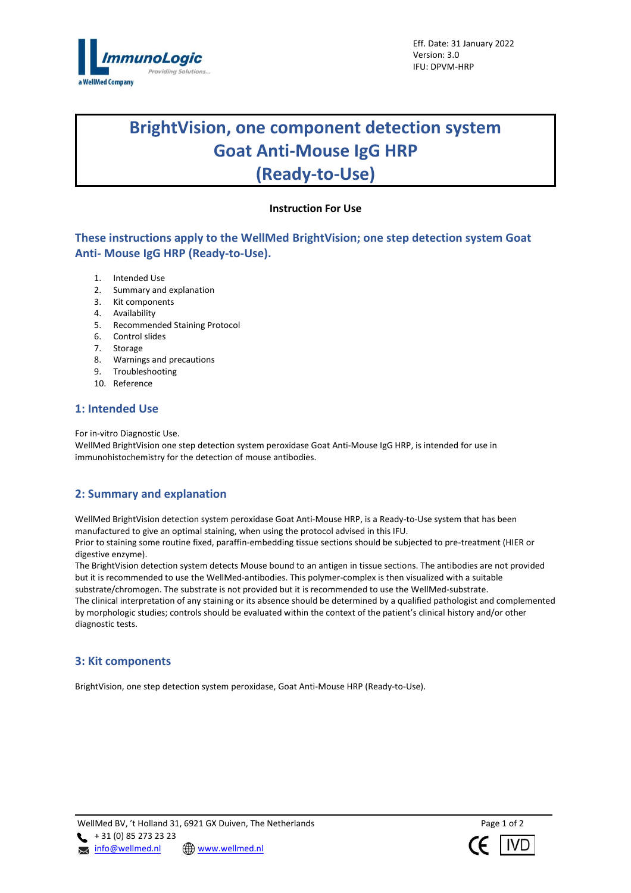

# **BrightVision, one component detection system Goat Anti-Mouse IgG HRP (Ready-to-Use)**

## **Instruction For Use**

## **These instructions apply to the WellMed BrightVision; one step detection system Goat Anti- Mouse IgG HRP (Ready-to-Use).**

- 1. Intended Use
- 2. Summary and explanation
- 3. Kit components
- 4. Availability
- 5. Recommended Staining Protocol
- 6. Control slides
- 7. Storage
- 8. Warnings and precautions
- 9. Troubleshooting
- 10. Reference

## **1: Intended Use**

For in-vitro Diagnostic Use.

WellMed BrightVision one step detection system peroxidase Goat Anti-Mouse IgG HRP, is intended for use in immunohistochemistry for the detection of mouse antibodies.

## **2: Summary and explanation**

WellMed BrightVision detection system peroxidase Goat Anti-Mouse HRP, is a Ready-to-Use system that has been manufactured to give an optimal staining, when using the protocol advised in this IFU. Prior to staining some routine fixed, paraffin-embedding tissue sections should be subjected to pre-treatment (HIER or

digestive enzyme).

The BrightVision detection system detects Mouse bound to an antigen in tissue sections. The antibodies are not provided but it is recommended to use the WellMed-antibodies. This polymer-complex is then visualized with a suitable substrate/chromogen. The substrate is not provided but it is recommended to use the WellMed-substrate. The clinical interpretation of any staining or its absence should be determined by a qualified pathologist and complemented

by morphologic studies; controls should be evaluated within the context of the patient's clinical history and/or other diagnostic tests.

## **3: Kit components**

BrightVision, one step detection system peroxidase, Goat Anti-Mouse HRP (Ready-to-Use).